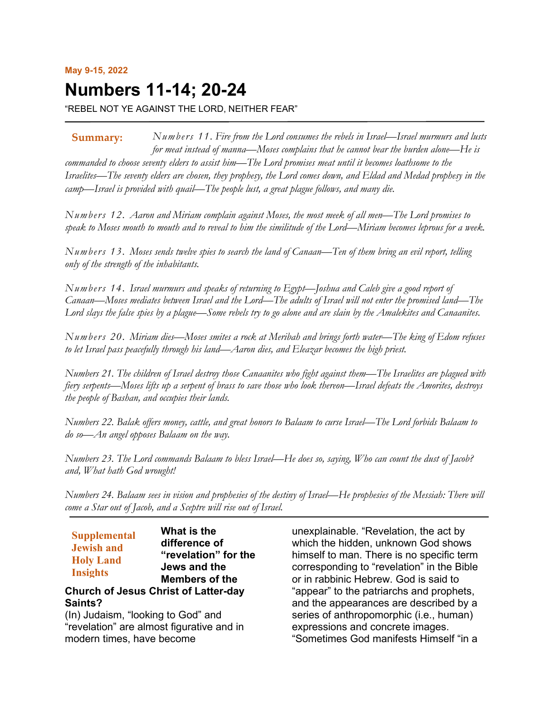# **Numbers 11-14; 20-24**

"REBEL NOT YE AGAINST THE LORD, NEITHER FEAR"

*Numbers 11. Fire from the Lord consumes the rebels in Israel—Israel murmurs and lusts for meat instead of manna—Moses complains that he cannot bear the burden alone—He is commanded to choose seventy elders to assist him—The Lord promises meat until it becomes loathsome to the Israelites—The seventy elders are chosen, they prophesy, the Lord comes down, and Eldad and Medad prophesy in the camp—Israel is provided with quail—The people lust, a great plague follows, and many die.* **Summary:**

*Numbers 12. Aaron and Miriam complain against Moses, the most meek of all men—The Lord promises to speak to Moses mouth to mouth and to reveal to him the similitude of the Lord—Miriam becomes leprous for a week.*

*Numbers 13. Moses sends twelve spies to search the land of Canaan—Ten of them bring an evil report, telling only of the strength of the inhabitants.*

*Numbers 14. Israel murmurs and speaks of returning to Egypt—Joshua and Caleb give a good report of Canaan—Moses mediates between Israel and the Lord—The adults of Israel will not enter the promised land—The Lord slays the false spies by a plague—Some rebels try to go alone and are slain by the Amalekites and Canaanites.*

*Numbers 20. Miriam dies—Moses smites a rock at Meribah and brings forth water—The king of Edom refuses to let Israel pass peacefully through his land—Aaron dies, and Eleazar becomes the high priest.*

*Numbers 21. The children of Israel destroy those Canaanites who fight against them—The Israelites are plagued with fiery serpents—Moses lifts up a serpent of brass to save those who look thereon—Israel defeats the Amorites, destroys the people of Bashan, and occupies their lands.*

*Numbers 22. Balak offers money, cattle, and great honors to Balaam to curse Israel—The Lord forbids Balaam to do so—An angel opposes Balaam on the way.*

*Numbers 23. The Lord commands Balaam to bless Israel—He does so, saying, Who can count the dust of Jacob? and, What hath God wrought!*

*Numbers 24. Balaam sees in vision and prophesies of the destiny of Israel—He prophesies of the Messiah: There will come a Star out of Jacob, and a Sceptre will rise out of Israel.*

| <b>Supplemental</b><br><b>Jewish and</b><br><b>Holy Land</b><br><b>Insights</b> | What is the<br>difference of<br>"revelation" for the<br>Jews and the<br><b>Members of the</b> |
|---------------------------------------------------------------------------------|-----------------------------------------------------------------------------------------------|
|                                                                                 | <b>Church of Jesus Christ of Latter-day</b>                                                   |
| Saints?                                                                         |                                                                                               |
| (In) Judaism, "looking to God" and                                              |                                                                                               |

"revelation" are almost figurative and in modern times, have become

unexplainable. "Revelation, the act by which the hidden, unknown God shows himself to man. There is no specific term corresponding to "revelation" in the Bible or in rabbinic Hebrew. God is said to "appear" to the patriarchs and prophets, and the appearances are described by a series of anthropomorphic (i.e., human) expressions and concrete images. "Sometimes God manifests Himself "in a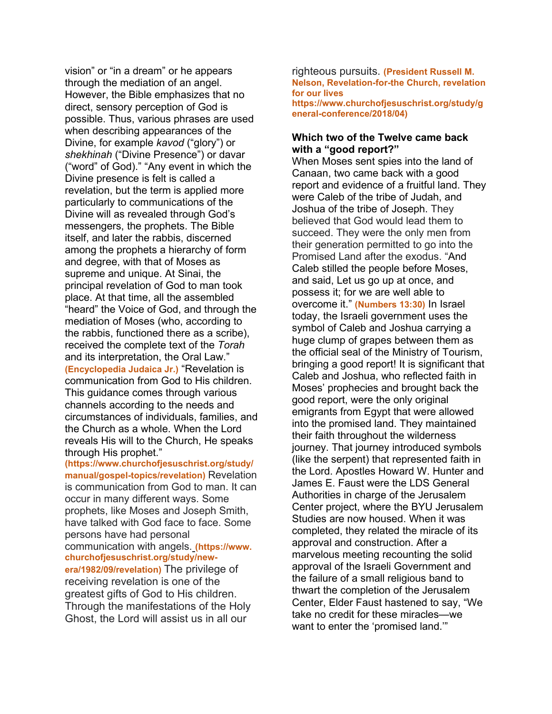vision" or "in a dream" or he appears through the mediation of an angel. However, the Bible emphasizes that no direct, sensory perception of God is possible. Thus, various phrases are used when describing appearances of the Divine, for example *kavod* ("glory") or *shekhinah* ("Divine Presence") or davar ("word" of God)." "Any event in which the Divine presence is felt is called a revelation, but the term is applied more particularly to communications of the Divine will as revealed through God's messengers, the prophets. The Bible itself, and later the rabbis, discerned among the prophets a hierarchy of form and degree, with that of Moses as supreme and unique. At Sinai, the principal revelation of God to man took place. At that time, all the assembled "heard" the Voice of God, and through the mediation of Moses (who, according to the rabbis, functioned there as a scribe), received the complete text of the *Torah* and its interpretation, the Oral Law." **(Encyclopedia Judaica Jr.)** "Revelation is communication from God to His children. This guidance comes through various channels according to the needs and circumstances of individuals, families, and the Church as a whole. When the Lord reveals His will to the Church, He speaks through His prophet."

**(https://www.churchofjesuschrist.org/study/ manual/gospel-topics/revelation)** Revelation is communication from God to man. It can occur in many different ways. Some prophets, like Moses and Joseph Smith, have talked with God face to face. Some persons have had personal communication with angels. **(https://www. churchofjesuschrist.org/study/newera/1982/09/revelation)** The privilege of receiving revelation is one of the greatest gifts of God to His children. Through the manifestations of the Holy Ghost, the Lord will assist us in all our

righteous pursuits. **(President Russell M. Nelson, Revelation-for-the Church, revelation for our lives https://www.churchofjesuschrist.org/study/g**

**eneral-conference/2018/04)**

#### **Which two of the Twelve came back with a "good report?"**

When Moses sent spies into the land of Canaan, two came back with a good report and evidence of a fruitful land. They were Caleb of the tribe of Judah, and Joshua of the tribe of Joseph. They believed that God would lead them to succeed. They were the only men from their generation permitted to go into the Promised Land after the exodus. "And Caleb stilled the people before Moses, and said, Let us go up at once, and possess it; for we are well able to overcome it." **(Numbers 13:30)** In Israel today, the Israeli government uses the symbol of Caleb and Joshua carrying a huge clump of grapes between them as the official seal of the Ministry of Tourism, bringing a good report! It is significant that Caleb and Joshua, who reflected faith in Moses' prophecies and brought back the good report, were the only original emigrants from Egypt that were allowed into the promised land. They maintained their faith throughout the wilderness journey. That journey introduced symbols (like the serpent) that represented faith in the Lord. Apostles Howard W. Hunter and James E. Faust were the LDS General Authorities in charge of the Jerusalem Center project, where the BYU Jerusalem Studies are now housed. When it was completed, they related the miracle of its approval and construction. After a marvelous meeting recounting the solid approval of the Israeli Government and the failure of a small religious band to thwart the completion of the Jerusalem Center, Elder Faust hastened to say, "We take no credit for these miracles—we want to enter the 'promised land.'"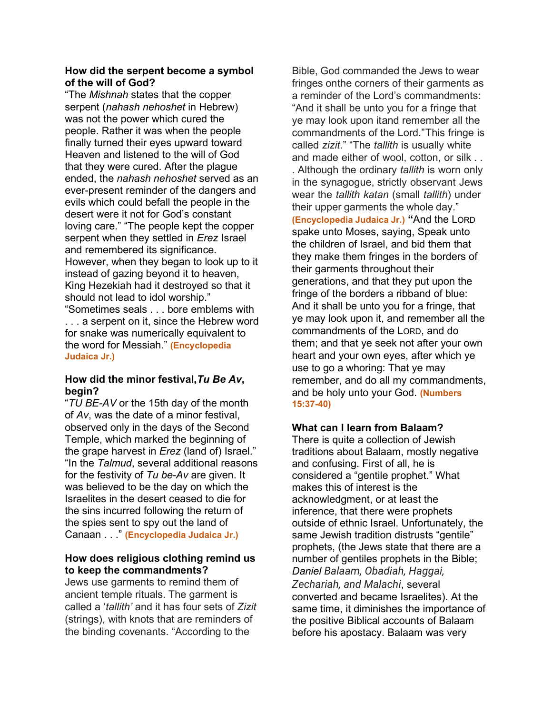#### **How did the serpent become a symbol of the will of God?**

"The *Mishnah* states that the copper serpent (*nahash nehoshet* in Hebrew) was not the power which cured the people. Rather it was when the people finally turned their eyes upward toward Heaven and listened to the will of God that they were cured. After the plague ended, the *nahash nehoshet* served as an ever-present reminder of the dangers and evils which could befall the people in the desert were it not for God's constant loving care." "The people kept the copper serpent when they settled in *Erez* Israel and remembered its significance. However, when they began to look up to it instead of gazing beyond it to heaven, King Hezekiah had it destroyed so that it should not lead to idol worship." "Sometimes seals . . . bore emblems with . . . a serpent on it, since the Hebrew word for snake was numerically equivalent to the word for Messiah." **(Encyclopedia** 

**Judaica Jr.)**

### **How did the minor festival,***Tu Be Av***, begin?**

"*TU BE-AV* or the 15th day of the month of *Av*, was the date of a minor festival, observed only in the days of the Second Temple, which marked the beginning of the grape harvest in *Erez* (land of) Israel." "In the *Talmud*, several additional reasons for the festivity of *Tu be-Av* are given. It was believed to be the day on which the Israelites in the desert ceased to die for the sins incurred following the return of the spies sent to spy out the land of Canaan . . ." **(Encyclopedia Judaica Jr.)**

### **How does religious clothing remind us to keep the commandments?**

Jews use garments to remind them of ancient temple rituals. The garment is called a '*tallith'* and it has four sets of *Zizit* (strings), with knots that are reminders of the binding covenants. "According to the

Bible, God commanded the Jews to wear fringes onthe corners of their garments as a reminder of the Lord's commandments: "And it shall be unto you for a fringe that ye may look upon itand remember all the commandments of the Lord."This fringe is called *zizit*." "The *tallith* is usually white and made either of wool, cotton, or silk . . . Although the ordinary *tallith* is worn only in the synagogue, strictly observant Jews wear the *tallith katan* (small *tallith*) under their upper garments the whole day." **(Encyclopedia Judaica Jr.) "**And the LORD spake unto Moses, saying, Speak unto the children of Israel, and bid them that they make them fringes in the borders of their garments throughout their generations, and that they put upon the fringe of the borders a ribband of blue: And it shall be unto you for a fringe, that ye may look upon it, and remember all the commandments of the LORD, and do them; and that ye seek not after your own heart and your own eyes, after which ye use to go a whoring: That ye may remember, and do all my commandments, and be holy unto your God. **(Numbers 15:37-40)**

## **What can I learn from Balaam?**

There is quite a collection of Jewish traditions about Balaam, mostly negative and confusing. First of all, he is considered a "gentile prophet." What makes this of interest is the acknowledgment, or at least the inference, that there were prophets outside of ethnic Israel. Unfortunately, the same Jewish tradition distrusts "gentile" prophets, (the Jews state that there are a number of gentiles prophets in the Bible; *Daniel Balaam, Obadiah, Haggai, Zechariah, and Malachi*, several converted and became Israelites). At the same time, it diminishes the importance of the positive Biblical accounts of Balaam before his apostacy. Balaam was very